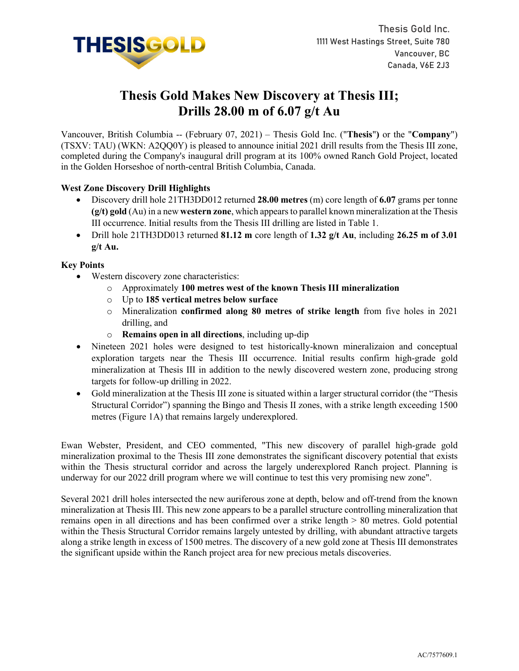

# **Thesis Gold Makes New Discovery at Thesis III; Drills 28.00 m of 6.07 g/t Au**

Vancouver, British Columbia -- (February 07, 2021) – Thesis Gold Inc. ("**Thesis**"**)** or the "**Company**") (TSXV: TAU) (WKN: A2QQ0Y) is pleased to announce initial 2021 drill results from the Thesis III zone, completed during the Company's inaugural drill program at its 100% owned Ranch Gold Project, located in the Golden Horseshoe of north-central British Columbia, Canada.

## **West Zone Discovery Drill Highlights**

- Discovery drill hole 21TH3DD012 returned **28.00 metres** (m) core length of **6.07** grams per tonne **(g/t) gold** (Au) in a new **western zone**, which appears to parallel known mineralization at the Thesis III occurrence. Initial results from the Thesis III drilling are listed in Table 1.
- Drill hole 21TH3DD013 returned **81.12 m** core length of **1.32 g/t Au**, including **26.25 m of 3.01 g/t Au.**

#### **Key Points**

- Western discovery zone characteristics:
	- o Approximately **100 metres west of the known Thesis III mineralization**
	- o Up to **185 vertical metres below surface**
	- o Mineralization **confirmed along 80 metres of strike length** from five holes in 2021 drilling, and
	- o **Remains open in all directions**, including up-dip
- Nineteen 2021 holes were designed to test historically-known mineralizaion and conceptual exploration targets near the Thesis III occurrence. Initial results confirm high-grade gold mineralization at Thesis III in addition to the newly discovered western zone, producing strong targets for follow-up drilling in 2022.
- Gold mineralization at the Thesis III zone is situated within a larger structural corridor (the "Thesis Structural Corridor") spanning the Bingo and Thesis II zones, with a strike length exceeding 1500 metres (Figure 1A) that remains largely underexplored.

Ewan Webster, President, and CEO commented, "This new discovery of parallel high-grade gold mineralization proximal to the Thesis III zone demonstrates the significant discovery potential that exists within the Thesis structural corridor and across the largely underexplored Ranch project. Planning is underway for our 2022 drill program where we will continue to test this very promising new zone".

Several 2021 drill holes intersected the new auriferous zone at depth, below and off-trend from the known mineralization at Thesis III. This new zone appears to be a parallel structure controlling mineralization that remains open in all directions and has been confirmed over a strike length > 80 metres. Gold potential within the Thesis Structural Corridor remains largely untested by drilling, with abundant attractive targets along a strike length in excess of 1500 metres. The discovery of a new gold zone at Thesis III demonstrates the significant upside within the Ranch project area for new precious metals discoveries.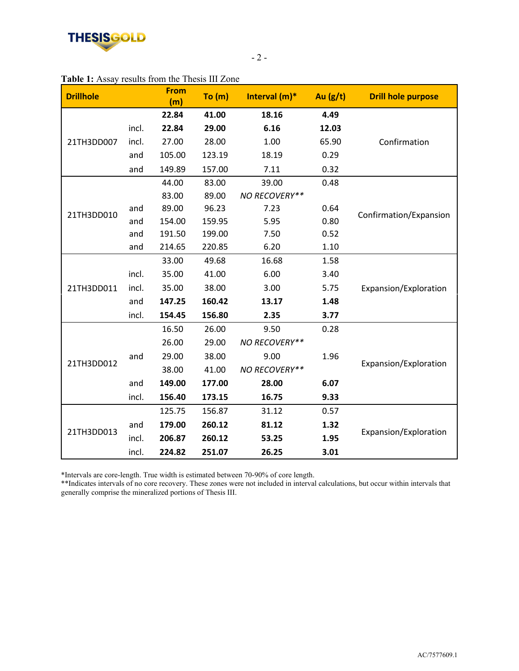

|       | <b>From</b><br>(m) | To (m) | Interval (m)* | Au $(g/t)$ | <b>Drill hole purpose</b> |
|-------|--------------------|--------|---------------|------------|---------------------------|
|       | 22.84              | 41.00  | 18.16         | 4.49       |                           |
| incl. | 22.84              | 29.00  | 6.16          | 12.03      | Confirmation              |
| incl. | 27.00              | 28.00  | 1.00          | 65.90      |                           |
| and   | 105.00             | 123.19 | 18.19         | 0.29       |                           |
| and   | 149.89             | 157.00 | 7.11          | 0.32       |                           |
|       | 44.00              | 83.00  | 39.00         | 0.48       | Confirmation/Expansion    |
|       | 83.00              | 89.00  | NO RECOVERY** |            |                           |
| and   | 89.00              | 96.23  | 7.23          | 0.64       |                           |
| and   | 154.00             | 159.95 | 5.95          | 0.80       |                           |
| and   | 191.50             | 199.00 | 7.50          | 0.52       |                           |
| and   | 214.65             | 220.85 | 6.20          | 1.10       |                           |
|       | 33.00              | 49.68  | 16.68         | 1.58       | Expansion/Exploration     |
| incl. | 35.00              | 41.00  | 6.00          | 3.40       |                           |
| incl. | 35.00              | 38.00  | 3.00          | 5.75       |                           |
| and   | 147.25             | 160.42 | 13.17         | 1.48       |                           |
| incl. | 154.45             | 156.80 | 2.35          | 3.77       |                           |
|       | 16.50              | 26.00  | 9.50          | 0.28       | Expansion/Exploration     |
|       | 26.00              | 29.00  | NO RECOVERY** |            |                           |
| and   | 29.00              | 38.00  | 9.00          | 1.96       |                           |
|       | 38.00              | 41.00  | NO RECOVERY** |            |                           |
| and   | 149.00             | 177.00 | 28.00         | 6.07       |                           |
| incl. | 156.40             | 173.15 | 16.75         | 9.33       |                           |
|       | 125.75             | 156.87 | 31.12         | 0.57       | Expansion/Exploration     |
| and   | 179.00             | 260.12 | 81.12         | 1.32       |                           |
| incl. | 206.87             | 260.12 | 53.25         | 1.95       |                           |
| incl. | 224.82             | 251.07 | 26.25         | 3.01       |                           |
|       |                    |        |               |            |                           |

## **Table 1:** Assay results from the Thesis III Zone

\*Intervals are core-length. True width is estimated between 70-90% of core length.

\*\*Indicates intervals of no core recovery. These zones were not included in interval calculations, but occur within intervals that generally comprise the mineralized portions of Thesis III.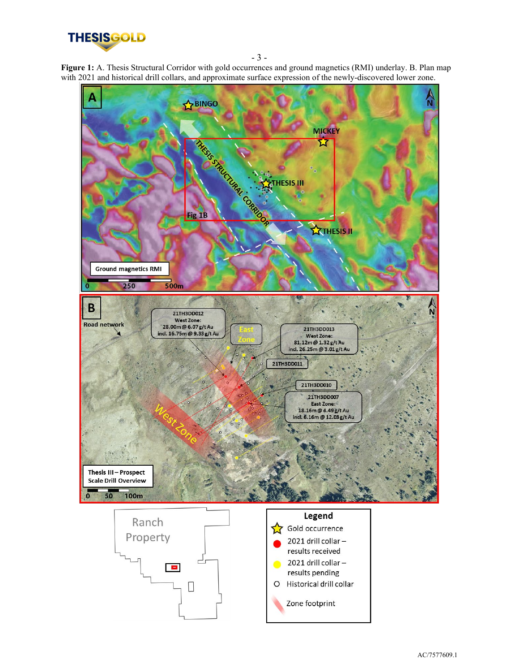

- 3 -

**Figure 1:** A. Thesis Structural Corridor with gold occurrences and ground magnetics (RMI) underlay. B. Plan map with 2021 and historical drill collars, and approximate surface expression of the newly-discovered lower zone.

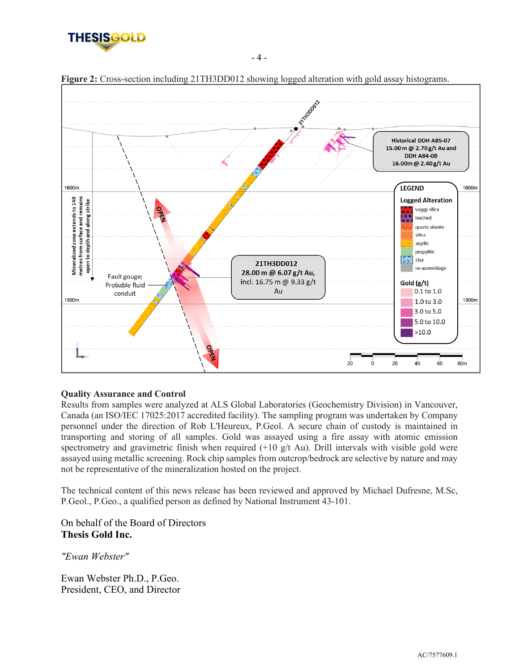



**Figure 2:** Cross-section including 21TH3DD012 showing logged alteration with gold assay histograms.

- 4 -

#### **Quality Assurance and Control**

Results from samples were analyzed at ALS Global Laboratories (Geochemistry Division) in Vancouver, Canada (an ISO/IEC 17025:2017 accredited facility). The sampling program was undertaken by Company personnel under the direction of Rob L'Heureux, P.Geol. A secure chain of custody is maintained in transporting and storing of all samples. Gold was assayed using a fire assay with atomic emission spectrometry and gravimetric finish when required  $(+10 \text{ g/t}$  Au). Drill intervals with visible gold were assayed using metallic screening. Rock chip samples from outcrop/bedrock are selective by nature and may not be representative of the mineralization hosted on the project.

The technical content of this news release has been reviewed and approved by Michael Dufresne, M.Sc, P.Geol., P.Geo., a qualified person as defined by National Instrument 43-101.

On behalf of the Board of Directors **Thesis Gold Inc.**

*"Ewan Webster"*

Ewan Webster Ph.D., P.Geo. President, CEO, and Director

AC/7577609.1